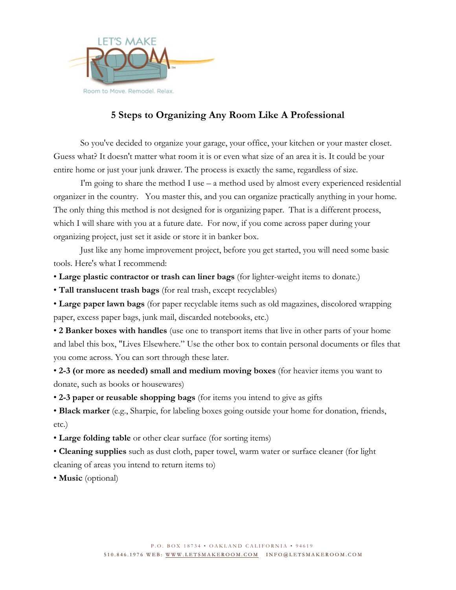

### **5 Steps to Organizing Any Room Like A Professional**

So you've decided to organize your garage, your office, your kitchen or your master closet. Guess what? It doesn't matter what room it is or even what size of an area it is. It could be your entire home or just your junk drawer. The process is exactly the same, regardless of size.

I'm going to share the method I use  $-$  a method used by almost every experienced residential organizer in the country. You master this, and you can organize practically anything in your home. The only thing this method is not designed for is organizing paper. That is a different process, which I will share with you at a future date. For now, if you come across paper during your organizing project, just set it aside or store it in banker box.

Just like any home improvement project, before you get started, you will need some basic tools. Here's what I recommend:

• **Large plastic contractor or trash can liner bags** (for lighter-weight items to donate.)

• **Tall translucent trash bags** (for real trash, except recyclables)

• **Large paper lawn bags** (for paper recyclable items such as old magazines, discolored wrapping paper, excess paper bags, junk mail, discarded notebooks, etc.)

• **2 Banker boxes with handles** (use one to transport items that live in other parts of your home and label this box, "Lives Elsewhere." Use the other box to contain personal documents or files that you come across. You can sort through these later.

• **2-3 (or more as needed) small and medium moving boxes** (for heavier items you want to donate, such as books or housewares)

• **2-3 paper or reusable shopping bags** (for items you intend to give as gifts

• **Black marker** (e.g., Sharpie, for labeling boxes going outside your home for donation, friends, etc.)

• **Large folding table** or other clear surface (for sorting items)

• **Cleaning supplies** such as dust cloth, paper towel, warm water or surface cleaner (for light cleaning of areas you intend to return items to)

• **Music** (optional)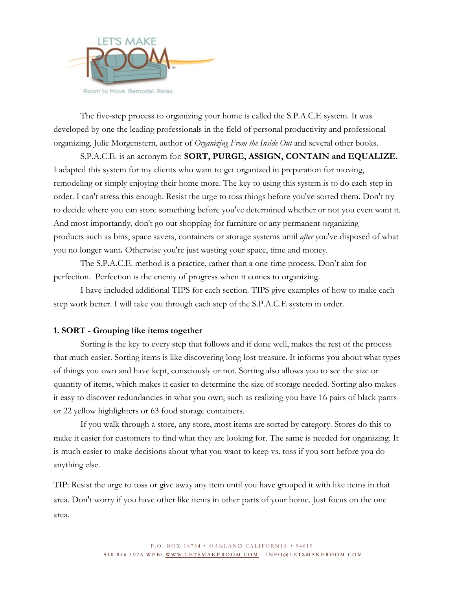

The five-step process to organizing your home is called the S.P.A.C.E system. It was developed by one the leading professionals in the field of personal productivity and professional organizing, Julie Morgenstern, author of *Organizing From the Inside Out* and several other books.

S.P.A.C.E. is an acronym for: **SORT, PURGE, ASSIGN, CONTAIN and EQUALIZE.** I adapted this system for my clients who want to get organized in preparation for moving, remodeling or simply enjoying their home more. The key to using this system is to do each step in order. I can't stress this enough. Resist the urge to toss things before you've sorted them. Don't try to decide where you can store something before you've determined whether or not you even want it. And most importantly, don't go out shopping for furniture or any permanent organizing products such as bins, space savers, containers or storage systems until *after* you've disposed of what you no longer want**.** Otherwise you're just wasting your space, time and money.

The S.P.A.C.E. method is a practice, rather than a one-time process. Don't aim for perfection. Perfection is the enemy of progress when it comes to organizing.

I have included additional TIPS for each section. TIPS give examples of how to make each step work better. I will take you through each step of the S.P.A.C.E system in order.

### **1. SORT - Grouping like items together**

Sorting is the key to every step that follows and if done well, makes the rest of the process that much easier. Sorting items is like discovering long lost treasure. It informs you about what types of things you own and have kept, consciously or not. Sorting also allows you to see the size or quantity of items, which makes it easier to determine the size of storage needed. Sorting also makes it easy to discover redundancies in what you own, such as realizing you have 16 pairs of black pants or 22 yellow highlighters or 63 food storage containers.

If you walk through a store, any store, most items are sorted by category. Stores do this to make it easier for customers to find what they are looking for. The same is needed for organizing. It is much easier to make decisions about what you want to keep vs. toss if you sort before you do anything else.

TIP: Resist the urge to toss or give away any item until you have grouped it with like items in that area. Don't worry if you have other like items in other parts of your home. Just focus on the one area.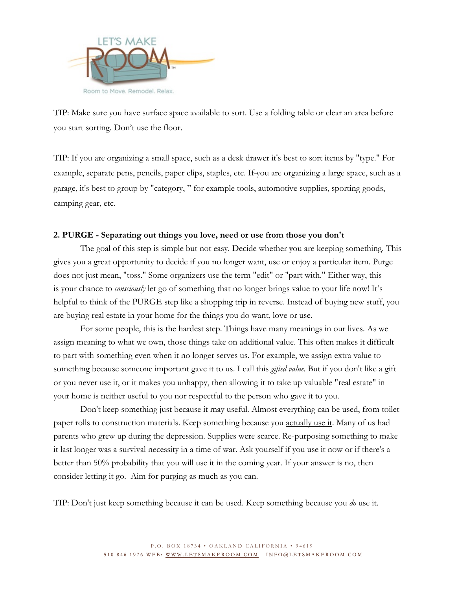

TIP: Make sure you have surface space available to sort. Use a folding table or clear an area before you start sorting. Don't use the floor.

TIP: If you are organizing a small space, such as a desk drawer it's best to sort items by "type." For example, separate pens, pencils, paper clips, staples, etc. If you are organizing a large space, such as a garage, it's best to group by "category, " for example tools, automotive supplies, sporting goods, camping gear, etc.

#### **2. PURGE - Separating out things you love, need or use from those you don't**

The goal of this step is simple but not easy. Decide whether you are keeping something. This gives you a great opportunity to decide if you no longer want, use or enjoy a particular item. Purge does not just mean, "toss." Some organizers use the term "edit" or "part with." Either way, this is your chance to *consciously* let go of something that no longer brings value to your life now! It's helpful to think of the PURGE step like a shopping trip in reverse. Instead of buying new stuff, you are buying real estate in your home for the things you do want, love or use.

For some people, this is the hardest step. Things have many meanings in our lives. As we assign meaning to what we own, those things take on additional value. This often makes it difficult to part with something even when it no longer serves us. For example, we assign extra value to something because someone important gave it to us. I call this *gifted value*. But if you don't like a gift or you never use it, or it makes you unhappy, then allowing it to take up valuable "real estate" in your home is neither useful to you nor respectful to the person who gave it to you.

Don't keep something just because it may useful. Almost everything can be used, from toilet paper rolls to construction materials. Keep something because you actually use it. Many of us had parents who grew up during the depression. Supplies were scarce. Re-purposing something to make it last longer was a survival necessity in a time of war. Ask yourself if you use it now or if there's a better than 50% probability that you will use it in the coming year. If your answer is no, then consider letting it go. Aim for purging as much as you can.

TIP: Don't just keep something because it can be used. Keep something because you *do* use it.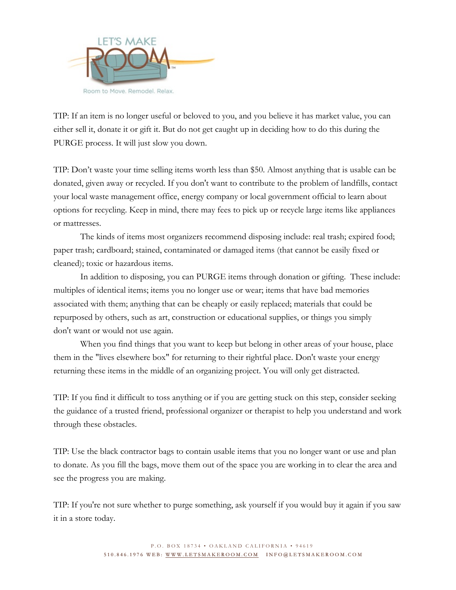

TIP: If an item is no longer useful or beloved to you, and you believe it has market value, you can either sell it, donate it or gift it. But do not get caught up in deciding how to do this during the PURGE process. It will just slow you down.

TIP: Don't waste your time selling items worth less than \$50. Almost anything that is usable can be donated, given away or recycled. If you don't want to contribute to the problem of landfills, contact your local waste management office, energy company or local government official to learn about options for recycling. Keep in mind, there may fees to pick up or recycle large items like appliances or mattresses.

The kinds of items most organizers recommend disposing include: real trash; expired food; paper trash; cardboard; stained, contaminated or damaged items (that cannot be easily fixed or cleaned); toxic or hazardous items.

In addition to disposing, you can PURGE items through donation or gifting. These include: multiples of identical items; items you no longer use or wear; items that have bad memories associated with them; anything that can be cheaply or easily replaced; materials that could be repurposed by others, such as art, construction or educational supplies, or things you simply don't want or would not use again.

When you find things that you want to keep but belong in other areas of your house, place them in the "lives elsewhere box" for returning to their rightful place. Don't waste your energy returning these items in the middle of an organizing project. You will only get distracted.

TIP: If you find it difficult to toss anything or if you are getting stuck on this step, consider seeking the guidance of a trusted friend, professional organizer or therapist to help you understand and work through these obstacles.

TIP: Use the black contractor bags to contain usable items that you no longer want or use and plan to donate. As you fill the bags, move them out of the space you are working in to clear the area and see the progress you are making.

TIP: If you're not sure whether to purge something, ask yourself if you would buy it again if you saw it in a store today.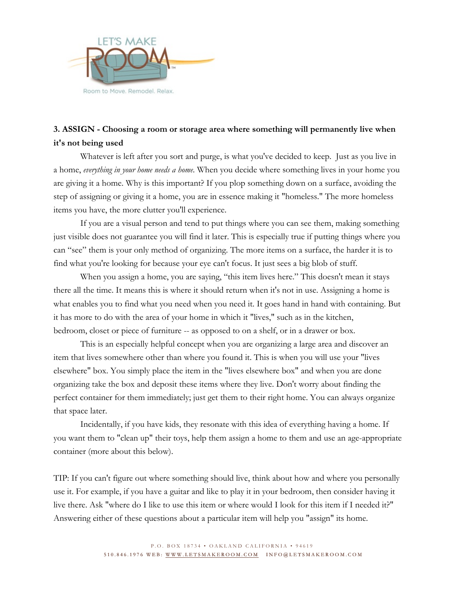

# **3. ASSIGN - Choosing a room or storage area where something will permanently live when it's not being used**

Whatever is left after you sort and purge, is what you've decided to keep. Just as you live in a home, *everything in your home needs a home*. When you decide where something lives in your home you are giving it a home. Why is this important? If you plop something down on a surface, avoiding the step of assigning or giving it a home, you are in essence making it "homeless." The more homeless items you have, the more clutter you'll experience.

If you are a visual person and tend to put things where you can see them, making something just visible does not guarantee you will find it later. This is especially true if putting things where you can "see" them is your only method of organizing. The more items on a surface, the harder it is to find what you're looking for because your eye can't focus. It just sees a big blob of stuff.

When you assign a home, you are saying, "this item lives here." This doesn't mean it stays there all the time. It means this is where it should return when it's not in use. Assigning a home is what enables you to find what you need when you need it. It goes hand in hand with containing. But it has more to do with the area of your home in which it "lives," such as in the kitchen, bedroom, closet or piece of furniture -- as opposed to on a shelf, or in a drawer or box.

This is an especially helpful concept when you are organizing a large area and discover an item that lives somewhere other than where you found it. This is when you will use your "lives elsewhere" box. You simply place the item in the "lives elsewhere box" and when you are done organizing take the box and deposit these items where they live. Don't worry about finding the perfect container for them immediately; just get them to their right home. You can always organize that space later.

Incidentally, if you have kids, they resonate with this idea of everything having a home. If you want them to "clean up" their toys, help them assign a home to them and use an age-appropriate container (more about this below).

TIP: If you can't figure out where something should live, think about how and where you personally use it. For example, if you have a guitar and like to play it in your bedroom, then consider having it live there. Ask "where do I like to use this item or where would I look for this item if I needed it?" Answering either of these questions about a particular item will help you "assign" its home.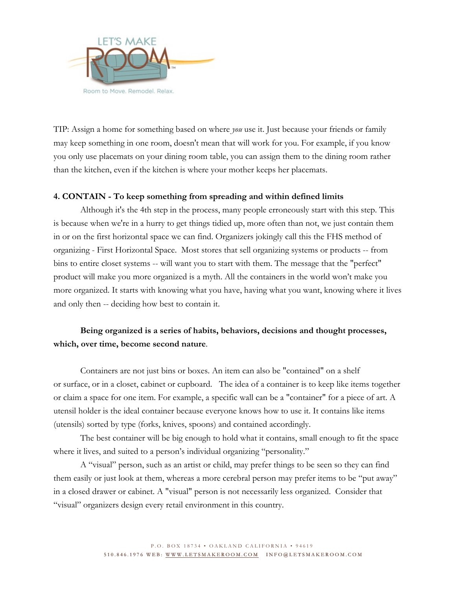

TIP: Assign a home for something based on where *you* use it. Just because your friends or family may keep something in one room, doesn't mean that will work for you. For example, if you know you only use placemats on your dining room table, you can assign them to the dining room rather than the kitchen, even if the kitchen is where your mother keeps her placemats.

#### **4. CONTAIN - To keep something from spreading and within defined limits**

Although it's the 4th step in the process, many people erroneously start with this step. This is because when we're in a hurry to get things tidied up, more often than not, we just contain them in or on the first horizontal space we can find. Organizers jokingly call this the FHS method of organizing - First Horizontal Space. Most stores that sell organizing systems or products -- from bins to entire closet systems -- will want you to start with them. The message that the "perfect" product will make you more organized is a myth. All the containers in the world won't make you more organized. It starts with knowing what you have, having what you want, knowing where it lives and only then -- deciding how best to contain it.

### **Being organized is a series of habits, behaviors, decisions and thought processes, which, over time, become second nature**.

Containers are not just bins or boxes. An item can also be "contained" on a shelf or surface, or in a closet, cabinet or cupboard. The idea of a container is to keep like items together or claim a space for one item. For example, a specific wall can be a "container" for a piece of art. A utensil holder is the ideal container because everyone knows how to use it. It contains like items (utensils) sorted by type (forks, knives, spoons) and contained accordingly.

The best container will be big enough to hold what it contains, small enough to fit the space where it lives, and suited to a person's individual organizing "personality."

A "visual" person, such as an artist or child, may prefer things to be seen so they can find them easily or just look at them, whereas a more cerebral person may prefer items to be "put away" in a closed drawer or cabinet. A "visual" person is not necessarily less organized. Consider that "visual" organizers design every retail environment in this country.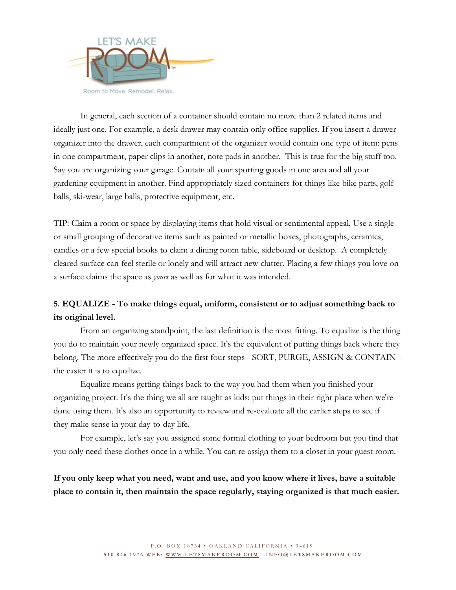

In general, each section of a container should contain no more than 2 related items and ideally just one. For example, a desk drawer may contain only office supplies. If you insert a drawer organizer into the drawer, each compartment of the organizer would contain one type of item: pens in one compartment, paper clips in another, note pads in another. This is true for the big stuff too. Say you are organizing your garage. Contain all your sporting goods in one area and all your gardening equipment in another. Find appropriately sized containers for things like bike parts, golf balls, ski-wear, large balls, protective equipment, etc.

TIP: Claim a room or space by displaying items that hold visual or sentimental appeal. Use a single or small grouping of decorative items such as painted or metallic boxes, photographs, ceramics, candles or a few special books to claim a dining room table, sideboard or desktop. A completely cleared surface can feel sterile or lonely and will attract new clutter. Placing a few things you love on a surface claims the space as *yours* as well as for what it was intended.

## **5. EQUALIZE - To make things equal, uniform, consistent or to adjust something back to its original level.**

From an organizing standpoint, the last definition is the most fitting. To equalize is the thing you do to maintain your newly organized space. It's the equivalent of putting things back where they belong. The more effectively you do the first four steps - SORT, PURGE, ASSIGN & CONTAIN the easier it is to equalize.

Equalize means getting things back to the way you had them when you finished your organizing project. It's the thing we all are taught as kids: put things in their right place when we're done using them. It's also an opportunity to review and re-evaluate all the earlier steps to see if they make sense in your day-to-day life.

For example, let's say you assigned some formal clothing to your bedroom but you find that you only need these clothes once in a while. You can re-assign them to a closet in your guest room.

**If you only keep what you need, want and use, and you know where it lives, have a suitable place to contain it, then maintain the space regularly, staying organized is that much easier.**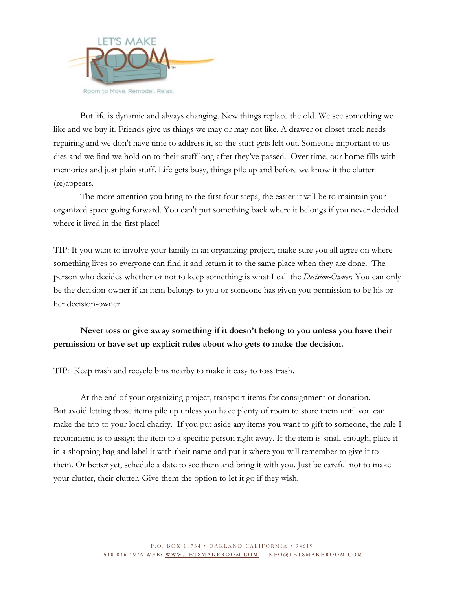

But life is dynamic and always changing. New things replace the old. We see something we like and we buy it. Friends give us things we may or may not like. A drawer or closet track needs repairing and we don't have time to address it, so the stuff gets left out. Someone important to us dies and we find we hold on to their stuff long after they've passed. Over time, our home fills with memories and just plain stuff. Life gets busy, things pile up and before we know it the clutter (re)appears.

The more attention you bring to the first four steps, the easier it will be to maintain your organized space going forward. You can't put something back where it belongs if you never decided where it lived in the first place!

TIP: If you want to involve your family in an organizing project, make sure you all agree on where something lives so everyone can find it and return it to the same place when they are done. The person who decides whether or not to keep something is what I call the *Decision-Owner.* You can only be the decision-owner if an item belongs to you or someone has given you permission to be his or her decision-owner.

### **Never toss or give away something if it doesn't belong to you unless you have their permission or have set up explicit rules about who gets to make the decision.**

TIP: Keep trash and recycle bins nearby to make it easy to toss trash.

At the end of your organizing project, transport items for consignment or donation. But avoid letting those items pile up unless you have plenty of room to store them until you can make the trip to your local charity. If you put aside any items you want to gift to someone, the rule I recommend is to assign the item to a specific person right away. If the item is small enough, place it in a shopping bag and label it with their name and put it where you will remember to give it to them. Or better yet, schedule a date to see them and bring it with you. Just be careful not to make your clutter, their clutter. Give them the option to let it go if they wish.